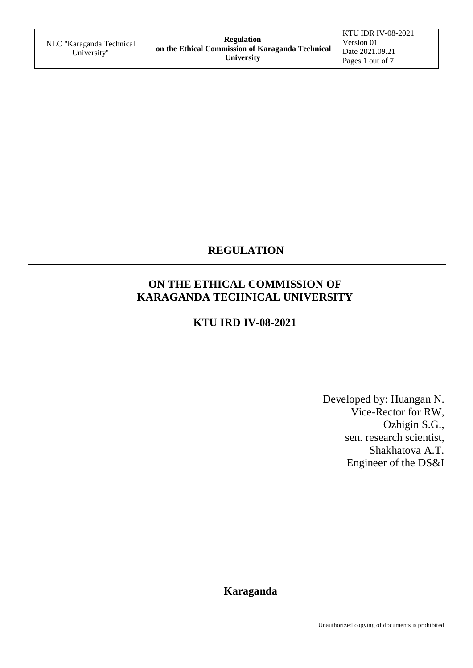# **REGULATION**

# **ON THE ETHICAL COMMISSION OF KARAGANDA TECHNICAL UNIVERSITY**

### **KTU IRD IV-08-2021**

Developed by: Huangan N. Vice-Rector for RW, Ozhigin S.G., sen. research scientist, Shakhatova A.T. Engineer of the DS&I

 **Karaganda**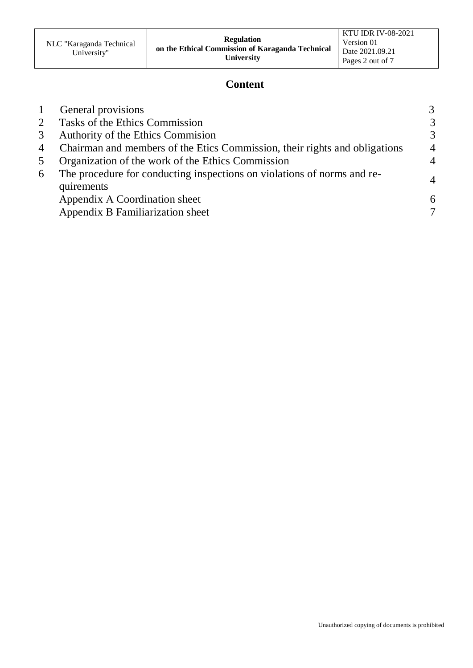### **Content**

|                | General provisions                                                                    | 3              |
|----------------|---------------------------------------------------------------------------------------|----------------|
| $\overline{2}$ | Tasks of the Ethics Commission                                                        | 3              |
| 3              | Authority of the Ethics Commission                                                    | 3              |
| 4              | Chairman and members of the Etics Commission, their rights and obligations            | $\overline{4}$ |
| 5              | Organization of the work of the Ethics Commission                                     | $\overline{4}$ |
| 6              | The procedure for conducting inspections on violations of norms and re-<br>quirements | $\overline{4}$ |
|                | Appendix A Coordination sheet                                                         | 6              |
|                | Appendix B Familiarization sheet                                                      |                |
|                |                                                                                       |                |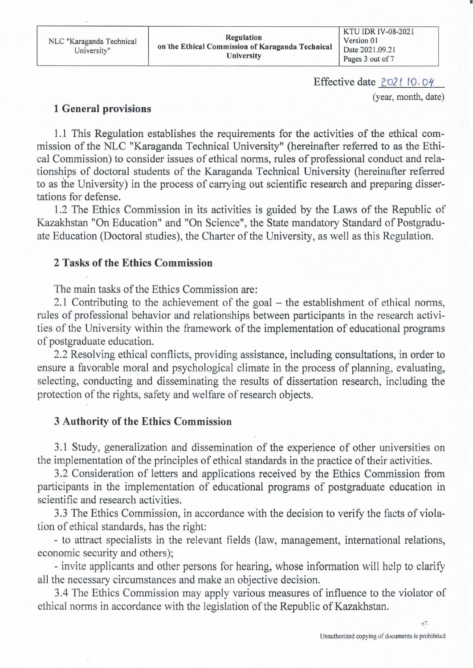NLC "Karaganda Technical University"

**Regulation** on the Ethical Commission of Karaganda Technical University

KTU IDR IV-08-2021 Version 01 Date 2021.09.21 Pages 3 out of 7

Effective date 2021 10.04

(year, month, date)

#### **1 General provisions**

1.1 This Regulation establishes the requirements for the activities of the ethical commission of the NLC "Karaganda Technical University" (hereinafter referred to as the Ethical Commission) to consider issues of ethical norms, rules of professional conduct and relationships of doctoral students of the Karaganda Technical University (hereinafter referred to as the University) in the process of carrying out scientific research and preparing dissertations for defense.

1.2 The Ethics Commission in its activities is guided by the Laws of the Republic of Kazakhstan "On Education" and "On Science", the State mandatory Standard of Postgraduate Education (Doctoral studies), the Charter of the University, as well as this Regulation.

### 2 Tasks of the Ethics Commission

The main tasks of the Ethics Commission are:

2.1 Contributing to the achievement of the goal – the establishment of ethical norms, rules of professional behavior and relationships between participants in the research activities of the University within the framework of the implementation of educational programs of postgraduate education.

2.2 Resolving ethical conflicts, providing assistance, including consultations, in order to ensure a favorable moral and psychological climate in the process of planning, evaluating, selecting, conducting and disseminating the results of dissertation research, including the protection of the rights, safety and welfare of research objects.

### **3 Authority of the Ethics Commission**

3.1 Study, generalization and dissemination of the experience of other universities on the implementation of the principles of ethical standards in the practice of their activities.

3.2 Consideration of letters and applications received by the Ethics Commission from participants in the implementation of educational programs of postgraduate education in scientific and research activities.

3.3 The Ethics Commission, in accordance with the decision to verify the facts of violation of ethical standards, has the right:

- to attract specialists in the relevant fields (law, management, international relations, economic security and others);

- invite applicants and other persons for hearing, whose information will help to clarify all the necessary circumstances and make an objective decision.

3.4 The Ethics Commission may apply various measures of influence to the violator of ethical norms in accordance with the legislation of the Republic of Kazakhstan.

 $\sum_{i=1}^{n}$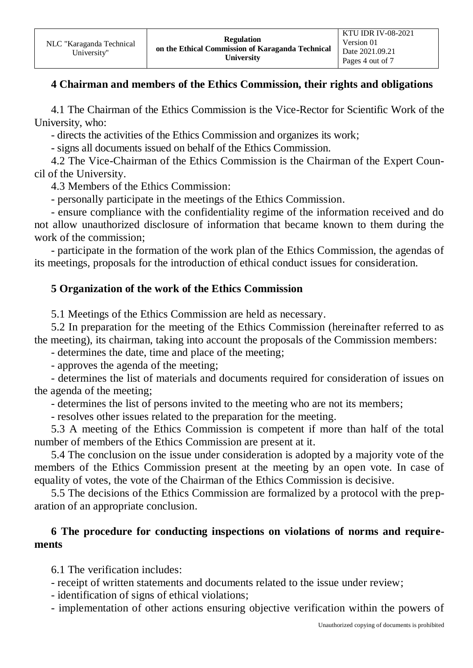#### **4 Chairman and members of the Ethics Commission, their rights and obligations**

4.1 The Chairman of the Ethics Commission is the Vice-Rector for Scientific Work of the University, who:

- directs the activities of the Ethics Commission and organizes its work;

- signs all documents issued on behalf of the Ethics Commission.

4.2 The Vice-Chairman of the Ethics Commission is the Chairman of the Expert Council of the University.

4.3 Members of the Ethics Commission:

- personally participate in the meetings of the Ethics Commission.

- ensure compliance with the confidentiality regime of the information received and do not allow unauthorized disclosure of information that became known to them during the work of the commission;

- participate in the formation of the work plan of the Ethics Commission, the agendas of its meetings, proposals for the introduction of ethical conduct issues for consideration.

#### **5 Organization of the work of the Ethics Commission**

5.1 Meetings of the Ethics Commission are held as necessary.

5.2 In preparation for the meeting of the Ethics Commission (hereinafter referred to as the meeting), its chairman, taking into account the proposals of the Commission members:

- determines the date, time and place of the meeting;

- approves the agenda of the meeting;

- determines the list of materials and documents required for consideration of issues on the agenda of the meeting;

- determines the list of persons invited to the meeting who are not its members;

- resolves other issues related to the preparation for the meeting.

5.3 A meeting of the Ethics Commission is competent if more than half of the total number of members of the Ethics Commission are present at it.

5.4 The conclusion on the issue under consideration is adopted by a majority vote of the members of the Ethics Commission present at the meeting by an open vote. In case of equality of votes, the vote of the Chairman of the Ethics Commission is decisive.

5.5 The decisions of the Ethics Commission are formalized by a protocol with the preparation of an appropriate conclusion.

#### **6 The procedure for conducting inspections on violations of norms and requirements**

6.1 The verification includes:

- receipt of written statements and documents related to the issue under review;

- identification of signs of ethical violations;
- implementation of other actions ensuring objective verification within the powers of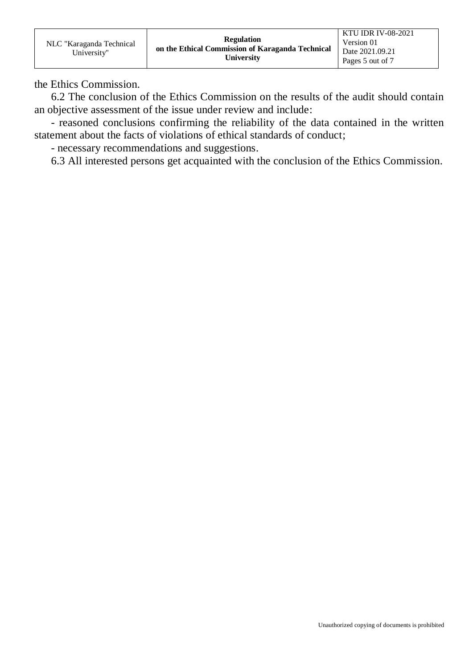the Ethics Commission.

6.2 The conclusion of the Ethics Commission on the results of the audit should contain an objective assessment of the issue under review and include:

- reasoned conclusions confirming the reliability of the data contained in the written statement about the facts of violations of ethical standards of conduct;

- necessary recommendations and suggestions.

6.3 All interested persons get acquainted with the conclusion of the Ethics Commission.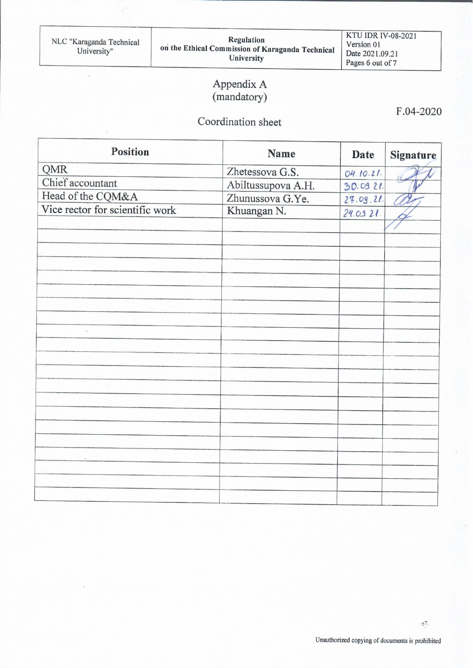$\lambda$ 

KTU IDR IV-08-2021 Version 01 Date 2021.09.21 Pages 6 out of 7

# Appendix A (mandatory)

# Coordination sheet

F.04-2020

| <b>Position</b>                 | <b>Name</b>        | <b>Date</b> | <b>Signature</b> |
|---------------------------------|--------------------|-------------|------------------|
| QMR                             | Zhetessova G.S.    | 04.10.21.   |                  |
| Chief accountant                | Abiltussupova A.H. | 30.09.21    |                  |
| Head of the CQM&A               | Zhunussova G.Ye.   | 27.09.21.   |                  |
| Vice rector for scientific work | Khuangan N.        | 24.0921     |                  |
|                                 |                    |             |                  |
|                                 |                    |             |                  |
|                                 |                    |             |                  |
|                                 |                    |             |                  |
|                                 |                    |             |                  |
|                                 |                    |             |                  |
|                                 |                    |             |                  |
|                                 |                    |             |                  |
|                                 |                    |             |                  |
|                                 |                    |             |                  |
|                                 |                    |             |                  |
|                                 |                    |             |                  |
|                                 |                    |             |                  |
|                                 |                    |             |                  |
|                                 |                    |             |                  |
|                                 |                    |             |                  |
|                                 |                    |             |                  |
|                                 |                    |             |                  |
|                                 |                    |             |                  |
|                                 |                    |             |                  |
|                                 |                    |             |                  |
|                                 |                    |             |                  |

 $\mathbb{R}^2$